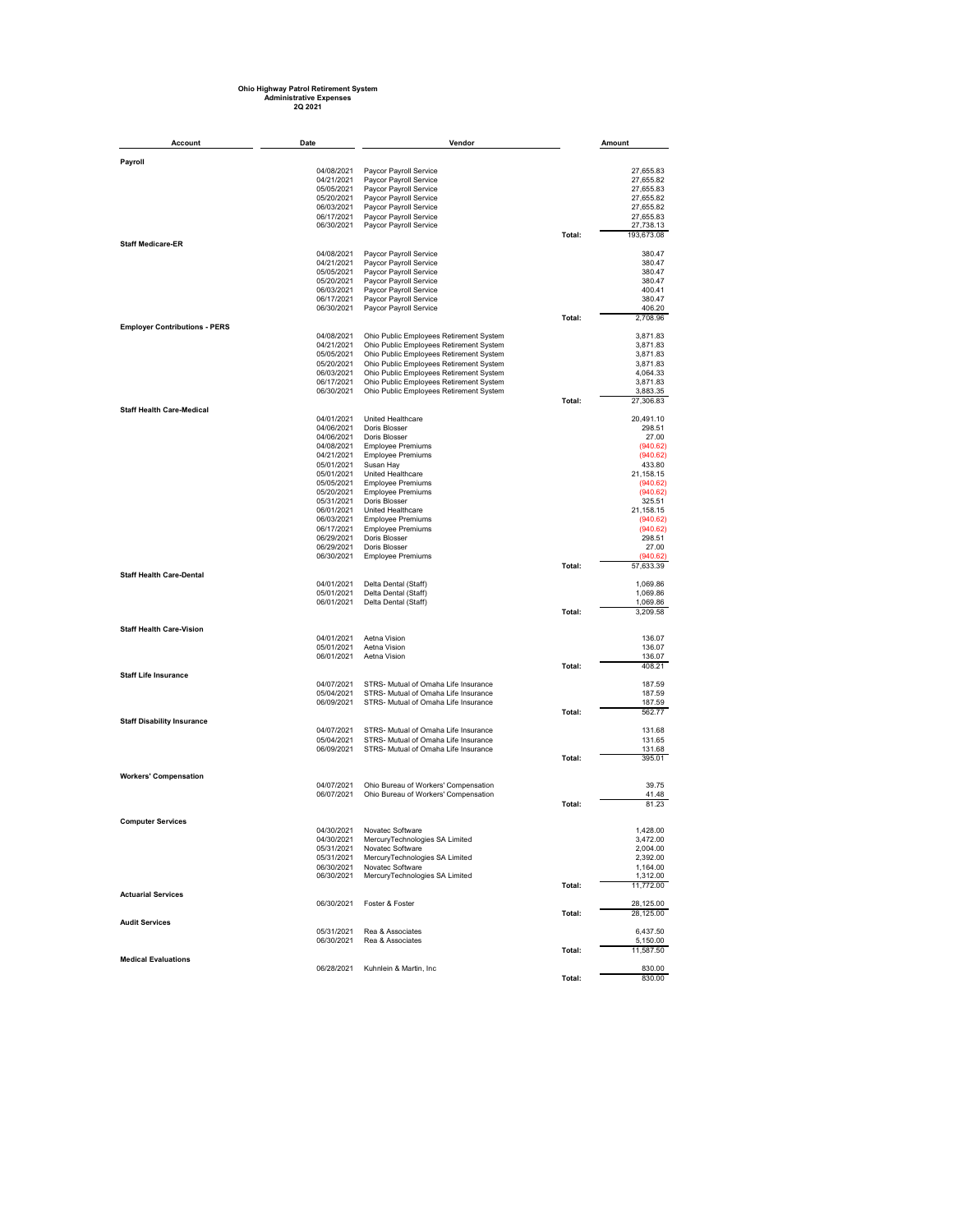## **Ohio Highway Patrol Retirement System Administrative Expenses 2Q 2021**

| Account                              | Date                     | Vendor                                                                             |        | Amount                 |
|--------------------------------------|--------------------------|------------------------------------------------------------------------------------|--------|------------------------|
| Payroll                              |                          |                                                                                    |        |                        |
|                                      | 04/08/2021               | Paycor Payroll Service                                                             |        | 27,655.83              |
|                                      | 04/21/2021               | Paycor Payroll Service                                                             |        | 27,655.82              |
|                                      | 05/05/2021               | Paycor Payroll Service                                                             |        | 27,655.83              |
|                                      | 05/20/2021<br>06/03/2021 | Paycor Payroll Service                                                             |        | 27,655.82<br>27,655.82 |
|                                      | 06/17/2021               | Paycor Payroll Service<br>Paycor Payroll Service                                   |        | 27,655.83              |
|                                      | 06/30/2021               | Paycor Payroll Service                                                             |        | 27,738.13              |
|                                      |                          |                                                                                    | Total: | 193,673.08             |
| <b>Staff Medicare-ER</b>             | 04/08/2021               | Paycor Payroll Service                                                             |        | 380.47                 |
|                                      | 04/21/2021               | Paycor Payroll Service                                                             |        | 380.47                 |
|                                      | 05/05/2021               | Paycor Payroll Service                                                             |        | 380.47                 |
|                                      | 05/20/2021<br>06/03/2021 | Paycor Payroll Service<br>Paycor Payroll Service                                   |        | 380.47<br>400.41       |
|                                      | 06/17/2021               | Paycor Payroll Service                                                             |        | 380.47                 |
|                                      | 06/30/2021               | Paycor Payroll Service                                                             |        | 406.20                 |
| <b>Employer Contributions - PERS</b> |                          |                                                                                    | Total: | 2,708.96               |
|                                      | 04/08/2021               | Ohio Public Employees Retirement System                                            |        | 3,871.83               |
|                                      | 04/21/2021               | Ohio Public Employees Retirement System                                            |        | 3,871.83               |
|                                      | 05/05/2021<br>05/20/2021 | Ohio Public Employees Retirement System<br>Ohio Public Employees Retirement System |        | 3,871.83<br>3,871.83   |
|                                      | 06/03/2021               | Ohio Public Employees Retirement System                                            |        | 4,064.33               |
|                                      | 06/17/2021               | Ohio Public Employees Retirement System                                            |        | 3,871.83               |
|                                      | 06/30/2021               | Ohio Public Employees Retirement System                                            | Total: | 3,883.35<br>27,306.83  |
| <b>Staff Health Care-Medical</b>     |                          |                                                                                    |        |                        |
|                                      | 04/01/2021               | United Healthcare<br>Doris Blosser                                                 |        | 20,491.10<br>298.51    |
|                                      | 04/06/2021<br>04/06/2021 | Doris Blosser                                                                      |        | 27.00                  |
|                                      | 04/08/2021               | <b>Employee Premiums</b>                                                           |        | (940.62)               |
|                                      | 04/21/2021               | <b>Employee Premiums</b>                                                           |        | (940.62)               |
|                                      | 05/01/2021<br>05/01/2021 | Susan Hay<br>United Healthcare                                                     |        | 433.80<br>21,158.15    |
|                                      | 05/05/2021               | <b>Employee Premiums</b>                                                           |        | (940.62)               |
|                                      | 05/20/2021               | <b>Employee Premiums</b>                                                           |        | (940.62)               |
|                                      | 05/31/2021<br>06/01/2021 | Doris Blosser<br>United Healthcare                                                 |        | 325.51<br>21,158.15    |
|                                      | 06/03/2021               | <b>Employee Premiums</b>                                                           |        | (940.62)               |
|                                      | 06/17/2021               | <b>Employee Premiums</b>                                                           |        | (940.62)               |
|                                      | 06/29/2021<br>06/29/2021 | Doris Blosser<br>Doris Blosser                                                     |        | 298.51<br>27.00        |
|                                      | 06/30/2021               | <b>Employee Premiums</b>                                                           |        | (940.62)               |
| <b>Staff Health Care-Dental</b>      |                          |                                                                                    | Total: | 57,633.39              |
|                                      | 04/01/2021               | Delta Dental (Staff)                                                               |        | 1,069.86               |
|                                      | 05/01/2021               | Delta Dental (Staff)                                                               |        | 1,069.86               |
|                                      | 06/01/2021               | Delta Dental (Staff)                                                               |        | 1,069.86               |
|                                      |                          |                                                                                    | Total: | 3,209.58               |
| <b>Staff Health Care-Vision</b>      |                          |                                                                                    |        |                        |
|                                      | 04/01/2021<br>05/01/2021 | Aetna Vision<br>Aetna Vision                                                       |        | 136.07<br>136.07       |
|                                      | 06/01/2021               | Aetna Vision                                                                       |        | 136.07                 |
|                                      |                          |                                                                                    | Total: | 408.21                 |
| <b>Staff Life Insurance</b>          | 04/07/2021               | STRS- Mutual of Omaha Life Insurance                                               |        | 187.59                 |
|                                      | 05/04/2021               | STRS- Mutual of Omaha Life Insurance                                               |        | 187.59                 |
|                                      | 06/09/2021               | STRS- Mutual of Omaha Life Insurance                                               |        | 187.59                 |
| <b>Staff Disability Insurance</b>    |                          |                                                                                    | Total: | 562.77                 |
|                                      | 04/07/2021               | STRS- Mutual of Omaha Life Insurance                                               |        | 131.68                 |
|                                      | 05/04/2021               | STRS- Mutual of Omaha Life Insurance                                               |        | 131.65                 |
|                                      | 06/09/2021               | STRS- Mutual of Omaha Life Insurance                                               | Total: | 131.68<br>395.01       |
|                                      |                          |                                                                                    |        |                        |
| <b>Workers' Compensation</b>         | 04/07/2021               | Ohio Bureau of Workers' Compensation                                               |        | 39.75                  |
|                                      | 06/07/2021               | Ohio Bureau of Workers' Compensation                                               |        | 41.48                  |
|                                      |                          |                                                                                    | Total: | 81.23                  |
| <b>Computer Services</b>             |                          |                                                                                    |        |                        |
|                                      | 04/30/2021               | Novatec Software                                                                   |        | 1,428.00               |
|                                      | 04/30/2021<br>05/31/2021 | MercuryTechnologies SA Limited<br>Novatec Software                                 |        | 3,472.00<br>2,004.00   |
|                                      | 05/31/2021               | MercuryTechnologies SA Limited                                                     |        | 2,392.00               |
|                                      | 06/30/2021               | Novatec Software                                                                   |        | 1,164.00               |
|                                      | 06/30/2021               | MercuryTechnologies SA Limited                                                     | Total: | 1,312.00<br>11,772.00  |
| <b>Actuarial Services</b>            |                          |                                                                                    |        |                        |
|                                      | 06/30/2021               | Foster & Foster                                                                    |        | 28,125.00              |
| <b>Audit Services</b>                |                          |                                                                                    | Total: | 28,125.00              |
|                                      | 05/31/2021               | Rea & Associates                                                                   |        | 6,437.50               |
|                                      | 06/30/2021               | Rea & Associates                                                                   |        | 5,150.00               |
| <b>Medical Evaluations</b>           |                          |                                                                                    | Total: | 11,587.50              |
|                                      | 06/28/2021               | Kuhnlein & Martin, Inc                                                             |        | 830.00                 |
|                                      |                          |                                                                                    | Total: | 830.00                 |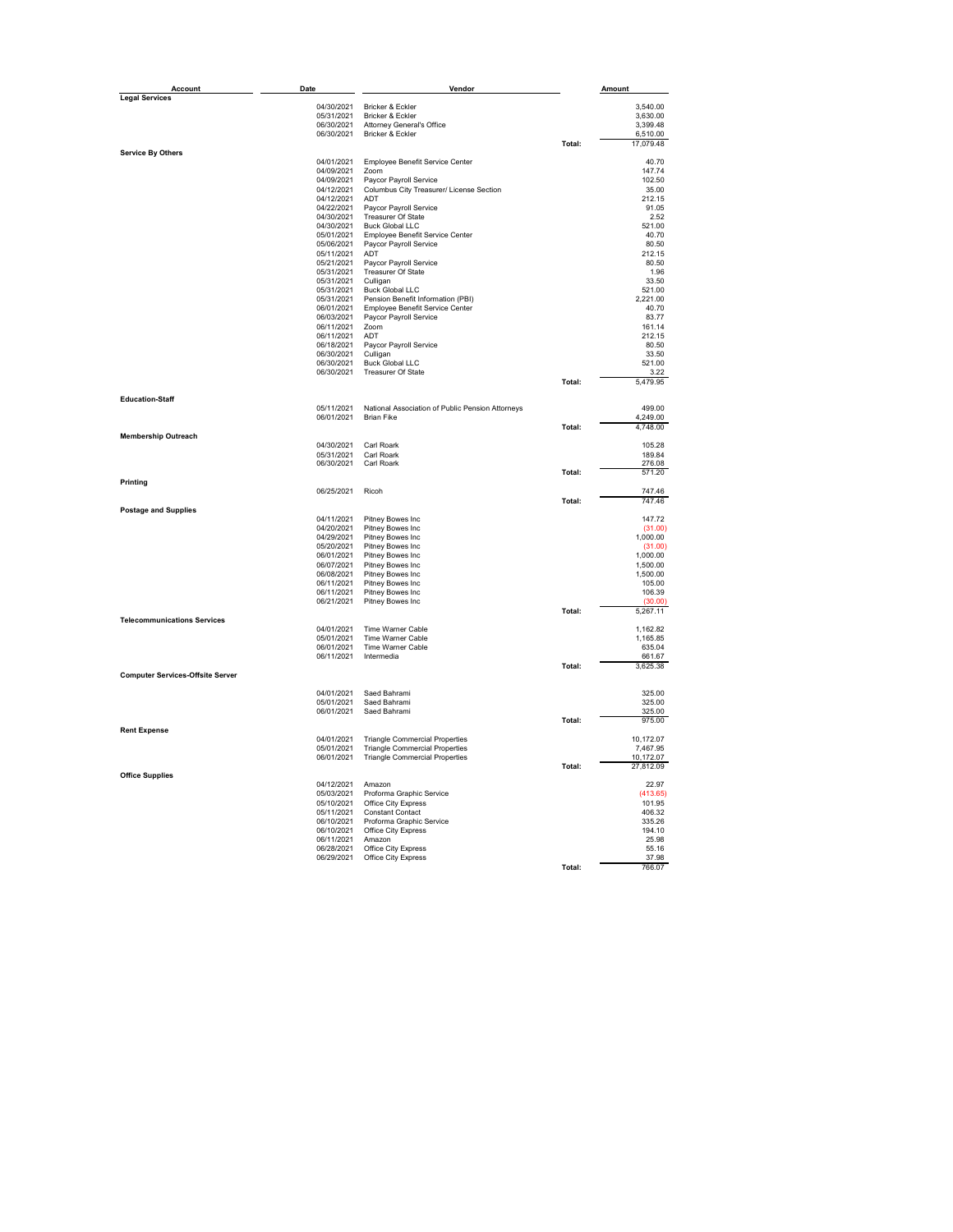| Account                                 | <b>Date</b>              | Vendor                                           |        | Amount                |
|-----------------------------------------|--------------------------|--------------------------------------------------|--------|-----------------------|
| <b>Legal Services</b>                   |                          |                                                  |        |                       |
|                                         | 04/30/2021<br>05/31/2021 | Bricker & Eckler<br>Bricker & Eckler             |        | 3,540.00<br>3,630.00  |
|                                         | 06/30/2021               | <b>Attorney General's Office</b>                 |        | 3,399.48              |
|                                         | 06/30/2021               | Bricker & Eckler                                 |        | 6,510.00              |
|                                         |                          |                                                  | Total: | 17,079.48             |
| <b>Service By Others</b>                |                          |                                                  |        |                       |
|                                         | 04/01/2021               | Employee Benefit Service Center                  |        | 40.70                 |
|                                         | 04/09/2021               | Zoom                                             |        | 147.74                |
|                                         | 04/09/2021               | Paycor Payroll Service                           |        | 102.50                |
|                                         | 04/12/2021<br>04/12/2021 | Columbus City Treasurer/ License Section<br>ADT  |        | 35.00<br>212.15       |
|                                         | 04/22/2021               | Paycor Payroll Service                           |        | 91.05                 |
|                                         | 04/30/2021               | Treasurer Of State                               |        | 2.52                  |
|                                         | 04/30/2021               | <b>Buck Global LLC</b>                           |        | 521.00                |
|                                         | 05/01/2021               | Employee Benefit Service Center                  |        | 40.70                 |
|                                         | 05/06/2021               | Paycor Payroll Service                           |        | 80.50                 |
|                                         | 05/11/2021               | ADT                                              |        | 212.15                |
|                                         | 05/21/2021<br>05/31/2021 | Paycor Payroll Service<br>Treasurer Of State     |        | 80.50<br>1.96         |
|                                         | 05/31/2021               | Culligan                                         |        | 33.50                 |
|                                         | 05/31/2021               | <b>Buck Global LLC</b>                           |        | 521.00                |
|                                         | 05/31/2021               | Pension Benefit Information (PBI)                |        | 2,221.00              |
|                                         | 06/01/2021               | Employee Benefit Service Center                  |        | 40.70                 |
|                                         | 06/03/2021               | Paycor Payroll Service                           |        | 83.77                 |
|                                         | 06/11/2021               | Zoom                                             |        | 161.14                |
|                                         | 06/11/2021               | ADT                                              |        | 212.15                |
|                                         | 06/18/2021               | Paycor Payroll Service                           |        | 80.50                 |
|                                         | 06/30/2021<br>06/30/2021 | Culligan<br><b>Buck Global LLC</b>               |        | 33.50<br>521.00       |
|                                         | 06/30/2021               | Treasurer Of State                               |        | 3.22                  |
|                                         |                          |                                                  | Total: | 5,479.95              |
|                                         |                          |                                                  |        |                       |
| <b>Education-Staff</b>                  |                          |                                                  |        |                       |
|                                         | 05/11/2021               | National Association of Public Pension Attorneys |        | 499.00                |
|                                         | 06/01/2021               | <b>Brian Fike</b>                                |        | 4,249.00              |
|                                         |                          |                                                  | Total: | 4,748.00              |
| <b>Membership Outreach</b>              | 04/30/2021               | Carl Roark                                       |        | 105.28                |
|                                         | 05/31/2021               | Carl Roark                                       |        | 189.84                |
|                                         | 06/30/2021               | Carl Roark                                       |        | 276.08                |
|                                         |                          |                                                  | Total: | 571.20                |
| Printing                                |                          |                                                  |        |                       |
|                                         | 06/25/2021               | Ricoh                                            |        | 747.46                |
|                                         |                          |                                                  | Total: | 747.46                |
| <b>Postage and Supplies</b>             | 04/11/2021               | Pitney Bowes Inc                                 |        |                       |
|                                         | 04/20/2021               | Pitney Bowes Inc                                 |        | 147.72<br>(31.00)     |
|                                         | 04/29/2021               | Pitney Bowes Inc                                 |        | 1,000.00              |
|                                         | 05/20/2021               | Pitney Bowes Inc                                 |        | (31.00)               |
|                                         | 06/01/2021               | Pitney Bowes Inc                                 |        | 1,000.00              |
|                                         | 06/07/2021               | Pitney Bowes Inc                                 |        | 1.500.00              |
|                                         | 06/08/2021               | Pitney Bowes Inc                                 |        | 1,500.00              |
|                                         | 06/11/2021               | Pitney Bowes Inc                                 |        | 105.00                |
|                                         | 06/11/2021<br>06/21/2021 | Pitney Bowes Inc<br>Pitney Bowes Inc             |        | 106.39<br>(30.00)     |
|                                         |                          |                                                  | Total: | 5,267.11              |
| <b>Telecommunications Services</b>      |                          |                                                  |        |                       |
|                                         | 04/01/2021               | Time Warner Cable                                |        | 1,162.82              |
|                                         | 05/01/2021               | Time Warner Cable                                |        | 1,165.85              |
|                                         | 06/01/2021               | Time Warner Cable                                |        | 635.04                |
|                                         | 06/11/2021               | Intermedia                                       |        | 661.67                |
|                                         |                          |                                                  | Total: | 3,625.38              |
| <b>Computer Services-Offsite Server</b> |                          |                                                  |        |                       |
|                                         | 04/01/2021               | Saed Bahrami                                     |        | 325.00                |
|                                         | 05/01/2021               | Saed Bahrami                                     |        | 325.00                |
|                                         | 06/01/2021               | Saed Bahrami                                     |        | 325.00                |
|                                         |                          |                                                  | Total: | 975.00                |
| <b>Rent Expense</b>                     |                          |                                                  |        |                       |
|                                         | 04/01/2021<br>05/01/2021 | <b>Triangle Commercial Properties</b>            |        | 10,172.07             |
|                                         | 06/01/2021               | <b>Triangle Commercial Properties</b>            |        | 7,467.95<br>10,172.07 |
|                                         |                          | <b>Triangle Commercial Properties</b>            | Total: | 27,812.09             |
| <b>Office Supplies</b>                  |                          |                                                  |        |                       |
|                                         | 04/12/2021               | Amazon                                           |        | 22.97                 |
|                                         | 05/03/2021               | Proforma Graphic Service                         |        | (413.65)              |
|                                         | 05/10/2021               | Office City Express                              |        | 101.95                |
|                                         | 05/11/2021               | <b>Constant Contact</b>                          |        | 406.32                |
|                                         | 06/10/2021<br>06/10/2021 | Proforma Graphic Service                         |        | 335.26<br>194.10      |
|                                         | 06/11/2021               | Office City Express<br>Amazon                    |        | 25.98                 |
|                                         | 06/28/2021               | Office City Express                              |        | 55.16                 |
|                                         | 06/29/2021               | Office City Express                              |        | 37.98                 |
|                                         |                          |                                                  | Total: | 766.07                |